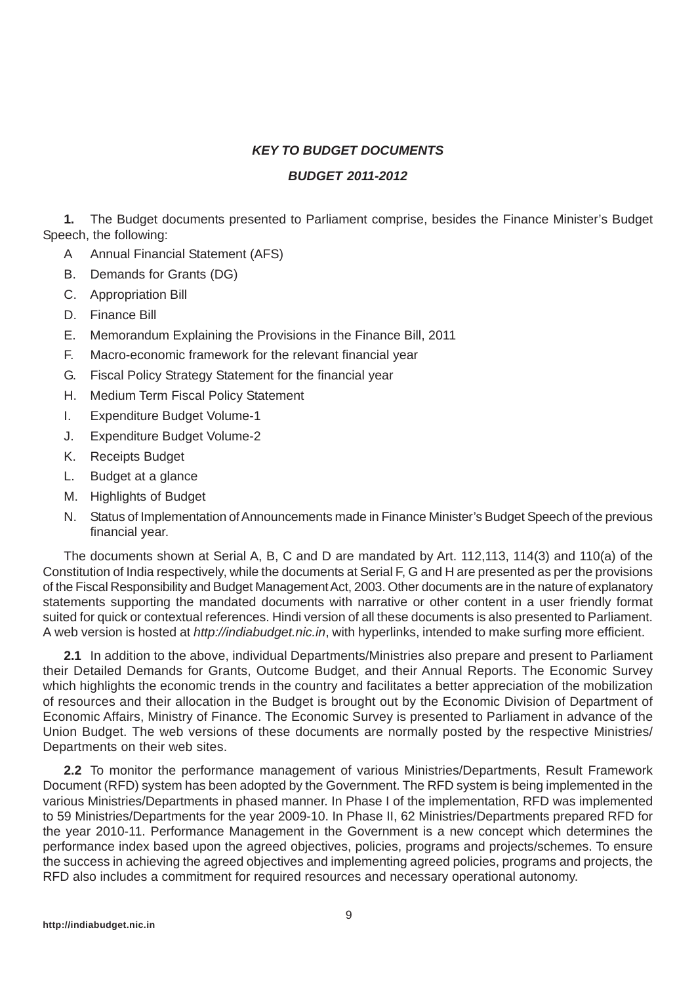# *KEY TO BUDGET DOCUMENTS*

## *BUDGET 2011-2012*

**1.** The Budget documents presented to Parliament comprise, besides the Finance Minister's Budget Speech, the following:

- A Annual Financial Statement (AFS)
- B. Demands for Grants (DG)
- C. Appropriation Bill
- D. Finance Bill
- E. Memorandum Explaining the Provisions in the Finance Bill, 2011
- F. Macro-economic framework for the relevant financial year
- G. Fiscal Policy Strategy Statement for the financial year
- H. Medium Term Fiscal Policy Statement
- I. Expenditure Budget Volume-1
- J. Expenditure Budget Volume-2
- K. Receipts Budget
- L. Budget at a glance
- M. Highlights of Budget
- N. Status of Implementation of Announcements made in Finance Minister's Budget Speech of the previous financial year.

The documents shown at Serial A, B, C and D are mandated by Art. 112,113, 114(3) and 110(a) of the Constitution of India respectively, while the documents at Serial F, G and H are presented as per the provisions of the Fiscal Responsibility and Budget Management Act, 2003. Other documents are in the nature of explanatory statements supporting the mandated documents with narrative or other content in a user friendly format suited for quick or contextual references. Hindi version of all these documents is also presented to Parliament. A web version is hosted at *http://indiabudget.nic.in*, with hyperlinks, intended to make surfing more efficient.

**2.1** In addition to the above, individual Departments/Ministries also prepare and present to Parliament their Detailed Demands for Grants, Outcome Budget, and their Annual Reports. The Economic Survey which highlights the economic trends in the country and facilitates a better appreciation of the mobilization of resources and their allocation in the Budget is brought out by the Economic Division of Department of Economic Affairs, Ministry of Finance. The Economic Survey is presented to Parliament in advance of the Union Budget. The web versions of these documents are normally posted by the respective Ministries/ Departments on their web sites.

**2.2** To monitor the performance management of various Ministries/Departments, Result Framework Document (RFD) system has been adopted by the Government. The RFD system is being implemented in the various Ministries/Departments in phased manner. In Phase I of the implementation, RFD was implemented to 59 Ministries/Departments for the year 2009-10. In Phase II, 62 Ministries/Departments prepared RFD for the year 2010-11. Performance Management in the Government is a new concept which determines the performance index based upon the agreed objectives, policies, programs and projects/schemes. To ensure the success in achieving the agreed objectives and implementing agreed policies, programs and projects, the RFD also includes a commitment for required resources and necessary operational autonomy.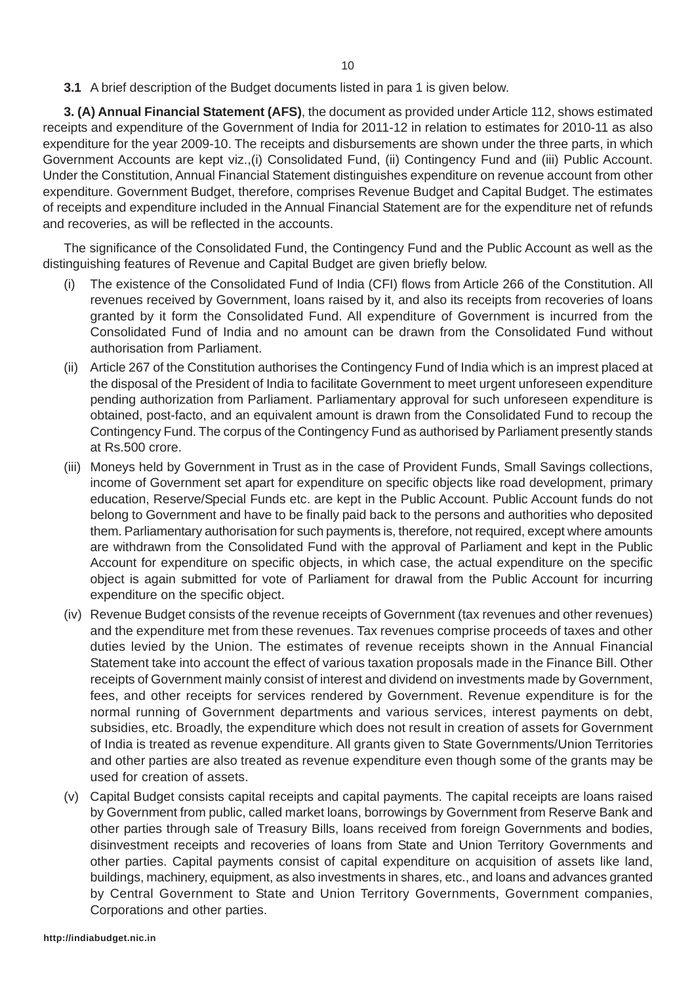**3.1** A brief description of the Budget documents listed in para 1 is given below.

**3. (A) Annual Financial Statement (AFS)**, the document as provided under Article 112, shows estimated receipts and expenditure of the Government of India for 2011-12 in relation to estimates for 2010-11 as also expenditure for the year 2009-10. The receipts and disbursements are shown under the three parts, in which Government Accounts are kept viz.,(i) Consolidated Fund, (ii) Contingency Fund and (iii) Public Account. Under the Constitution, Annual Financial Statement distinguishes expenditure on revenue account from other expenditure. Government Budget, therefore, comprises Revenue Budget and Capital Budget. The estimates of receipts and expenditure included in the Annual Financial Statement are for the expenditure net of refunds and recoveries, as will be reflected in the accounts.

The significance of the Consolidated Fund, the Contingency Fund and the Public Account as well as the distinguishing features of Revenue and Capital Budget are given briefly below.

- (i) The existence of the Consolidated Fund of India (CFI) flows from Article 266 of the Constitution. All revenues received by Government, loans raised by it, and also its receipts from recoveries of loans granted by it form the Consolidated Fund. All expenditure of Government is incurred from the Consolidated Fund of India and no amount can be drawn from the Consolidated Fund without authorisation from Parliament.
- (ii) Article 267 of the Constitution authorises the Contingency Fund of India which is an imprest placed at the disposal of the President of India to facilitate Government to meet urgent unforeseen expenditure pending authorization from Parliament. Parliamentary approval for such unforeseen expenditure is obtained, post-facto, and an equivalent amount is drawn from the Consolidated Fund to recoup the Contingency Fund. The corpus of the Contingency Fund as authorised by Parliament presently stands at Rs.500 crore.
- (iii) Moneys held by Government in Trust as in the case of Provident Funds, Small Savings collections, income of Government set apart for expenditure on specific objects like road development, primary education, Reserve/Special Funds etc. are kept in the Public Account. Public Account funds do not belong to Government and have to be finally paid back to the persons and authorities who deposited them. Parliamentary authorisation for such payments is, therefore, not required, except where amounts are withdrawn from the Consolidated Fund with the approval of Parliament and kept in the Public Account for expenditure on specific objects, in which case, the actual expenditure on the specific object is again submitted for vote of Parliament for drawal from the Public Account for incurring expenditure on the specific object.
- (iv) Revenue Budget consists of the revenue receipts of Government (tax revenues and other revenues) and the expenditure met from these revenues. Tax revenues comprise proceeds of taxes and other duties levied by the Union. The estimates of revenue receipts shown in the Annual Financial Statement take into account the effect of various taxation proposals made in the Finance Bill. Other receipts of Government mainly consist of interest and dividend on investments made by Government, fees, and other receipts for services rendered by Government. Revenue expenditure is for the normal running of Government departments and various services, interest payments on debt, subsidies, etc. Broadly, the expenditure which does not result in creation of assets for Government of India is treated as revenue expenditure. All grants given to State Governments/Union Territories and other parties are also treated as revenue expenditure even though some of the grants may be used for creation of assets.
- (v) Capital Budget consists capital receipts and capital payments. The capital receipts are loans raised by Government from public, called market loans, borrowings by Government from Reserve Bank and other parties through sale of Treasury Bills, loans received from foreign Governments and bodies, disinvestment receipts and recoveries of loans from State and Union Territory Governments and other parties. Capital payments consist of capital expenditure on acquisition of assets like land, buildings, machinery, equipment, as also investments in shares, etc., and loans and advances granted by Central Government to State and Union Territory Governments, Government companies, Corporations and other parties.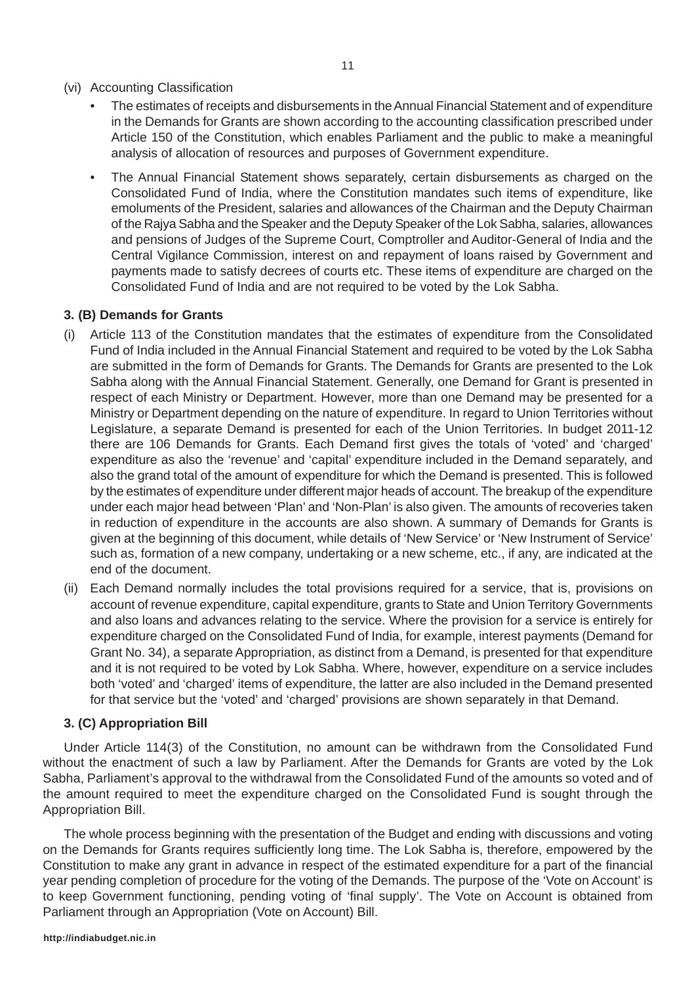- (vi) Accounting Classification
	- The estimates of receipts and disbursements in the Annual Financial Statement and of expenditure in the Demands for Grants are shown according to the accounting classification prescribed under Article 150 of the Constitution, which enables Parliament and the public to make a meaningful analysis of allocation of resources and purposes of Government expenditure.
	- The Annual Financial Statement shows separately, certain disbursements as charged on the Consolidated Fund of India, where the Constitution mandates such items of expenditure, like emoluments of the President, salaries and allowances of the Chairman and the Deputy Chairman of the Rajya Sabha and the Speaker and the Deputy Speaker of the Lok Sabha, salaries, allowances and pensions of Judges of the Supreme Court, Comptroller and Auditor-General of India and the Central Vigilance Commission, interest on and repayment of loans raised by Government and payments made to satisfy decrees of courts etc. These items of expenditure are charged on the Consolidated Fund of India and are not required to be voted by the Lok Sabha.

## **3. (B) Demands for Grants**

- (i) Article 113 of the Constitution mandates that the estimates of expenditure from the Consolidated Fund of India included in the Annual Financial Statement and required to be voted by the Lok Sabha are submitted in the form of Demands for Grants. The Demands for Grants are presented to the Lok Sabha along with the Annual Financial Statement. Generally, one Demand for Grant is presented in respect of each Ministry or Department. However, more than one Demand may be presented for a Ministry or Department depending on the nature of expenditure. In regard to Union Territories without Legislature, a separate Demand is presented for each of the Union Territories. In budget 2011-12 there are 106 Demands for Grants. Each Demand first gives the totals of 'voted' and 'charged' expenditure as also the 'revenue' and 'capital' expenditure included in the Demand separately, and also the grand total of the amount of expenditure for which the Demand is presented. This is followed by the estimates of expenditure under different major heads of account. The breakup of the expenditure under each major head between 'Plan' and 'Non-Plan' is also given. The amounts of recoveries taken in reduction of expenditure in the accounts are also shown. A summary of Demands for Grants is given at the beginning of this document, while details of 'New Service' or 'New Instrument of Service' such as, formation of a new company, undertaking or a new scheme, etc., if any, are indicated at the end of the document.
- (ii) Each Demand normally includes the total provisions required for a service, that is, provisions on account of revenue expenditure, capital expenditure, grants to State and Union Territory Governments and also loans and advances relating to the service. Where the provision for a service is entirely for expenditure charged on the Consolidated Fund of India, for example, interest payments (Demand for Grant No. 34), a separate Appropriation, as distinct from a Demand, is presented for that expenditure and it is not required to be voted by Lok Sabha. Where, however, expenditure on a service includes both 'voted' and 'charged' items of expenditure, the latter are also included in the Demand presented for that service but the 'voted' and 'charged' provisions are shown separately in that Demand.

## **3. (C) Appropriation Bill**

Under Article 114(3) of the Constitution, no amount can be withdrawn from the Consolidated Fund without the enactment of such a law by Parliament. After the Demands for Grants are voted by the Lok Sabha, Parliament's approval to the withdrawal from the Consolidated Fund of the amounts so voted and of the amount required to meet the expenditure charged on the Consolidated Fund is sought through the Appropriation Bill.

The whole process beginning with the presentation of the Budget and ending with discussions and voting on the Demands for Grants requires sufficiently long time. The Lok Sabha is, therefore, empowered by the Constitution to make any grant in advance in respect of the estimated expenditure for a part of the financial year pending completion of procedure for the voting of the Demands. The purpose of the 'Vote on Account' is to keep Government functioning, pending voting of 'final supply'. The Vote on Account is obtained from Parliament through an Appropriation (Vote on Account) Bill.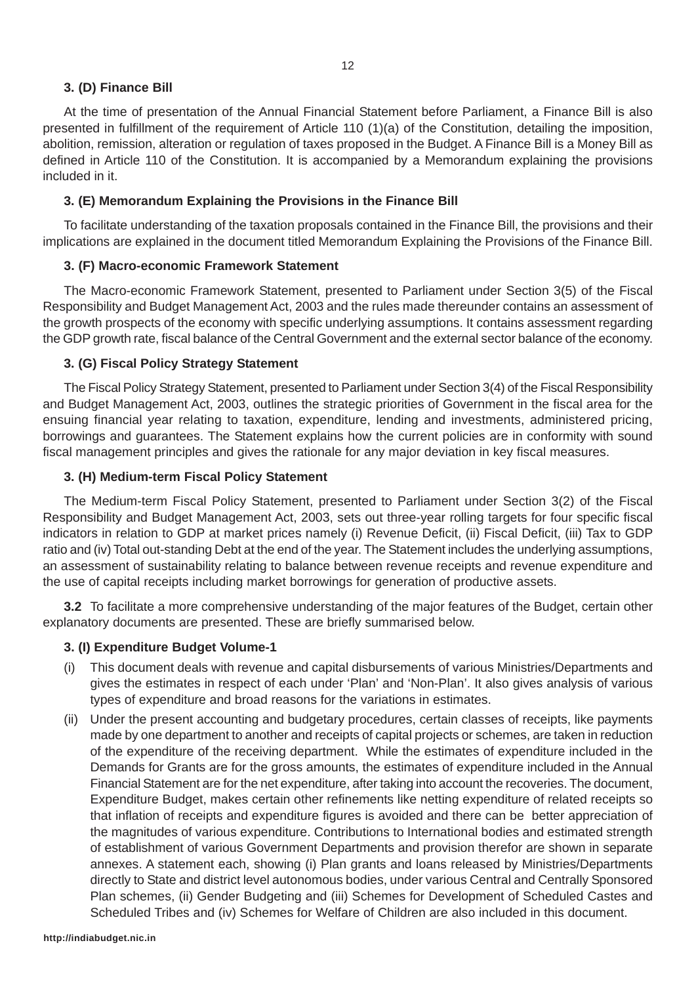# **3. (D) Finance Bill**

At the time of presentation of the Annual Financial Statement before Parliament, a Finance Bill is also presented in fulfillment of the requirement of Article 110 (1)(a) of the Constitution, detailing the imposition, abolition, remission, alteration or regulation of taxes proposed in the Budget. A Finance Bill is a Money Bill as defined in Article 110 of the Constitution. It is accompanied by a Memorandum explaining the provisions included in it.

## **3. (E) Memorandum Explaining the Provisions in the Finance Bill**

To facilitate understanding of the taxation proposals contained in the Finance Bill, the provisions and their implications are explained in the document titled Memorandum Explaining the Provisions of the Finance Bill.

## **3. (F) Macro-economic Framework Statement**

The Macro-economic Framework Statement, presented to Parliament under Section 3(5) of the Fiscal Responsibility and Budget Management Act, 2003 and the rules made thereunder contains an assessment of the growth prospects of the economy with specific underlying assumptions. It contains assessment regarding the GDP growth rate, fiscal balance of the Central Government and the external sector balance of the economy.

# **3. (G) Fiscal Policy Strategy Statement**

The Fiscal Policy Strategy Statement, presented to Parliament under Section 3(4) of the Fiscal Responsibility and Budget Management Act, 2003, outlines the strategic priorities of Government in the fiscal area for the ensuing financial year relating to taxation, expenditure, lending and investments, administered pricing, borrowings and guarantees. The Statement explains how the current policies are in conformity with sound fiscal management principles and gives the rationale for any major deviation in key fiscal measures.

## **3. (H) Medium-term Fiscal Policy Statement**

The Medium-term Fiscal Policy Statement, presented to Parliament under Section 3(2) of the Fiscal Responsibility and Budget Management Act, 2003, sets out three-year rolling targets for four specific fiscal indicators in relation to GDP at market prices namely (i) Revenue Deficit, (ii) Fiscal Deficit, (iii) Tax to GDP ratio and (iv) Total out-standing Debt at the end of the year. The Statement includes the underlying assumptions, an assessment of sustainability relating to balance between revenue receipts and revenue expenditure and the use of capital receipts including market borrowings for generation of productive assets.

**3.2** To facilitate a more comprehensive understanding of the major features of the Budget, certain other explanatory documents are presented. These are briefly summarised below.

# **3. (I) Expenditure Budget Volume-1**

- (i) This document deals with revenue and capital disbursements of various Ministries/Departments and gives the estimates in respect of each under 'Plan' and 'Non-Plan'. It also gives analysis of various types of expenditure and broad reasons for the variations in estimates.
- (ii) Under the present accounting and budgetary procedures, certain classes of receipts, like payments made by one department to another and receipts of capital projects or schemes, are taken in reduction of the expenditure of the receiving department. While the estimates of expenditure included in the Demands for Grants are for the gross amounts, the estimates of expenditure included in the Annual Financial Statement are for the net expenditure, after taking into account the recoveries. The document, Expenditure Budget, makes certain other refinements like netting expenditure of related receipts so that inflation of receipts and expenditure figures is avoided and there can be better appreciation of the magnitudes of various expenditure. Contributions to International bodies and estimated strength of establishment of various Government Departments and provision therefor are shown in separate annexes. A statement each, showing (i) Plan grants and loans released by Ministries/Departments directly to State and district level autonomous bodies, under various Central and Centrally Sponsored Plan schemes, (ii) Gender Budgeting and (iii) Schemes for Development of Scheduled Castes and Scheduled Tribes and (iv) Schemes for Welfare of Children are also included in this document.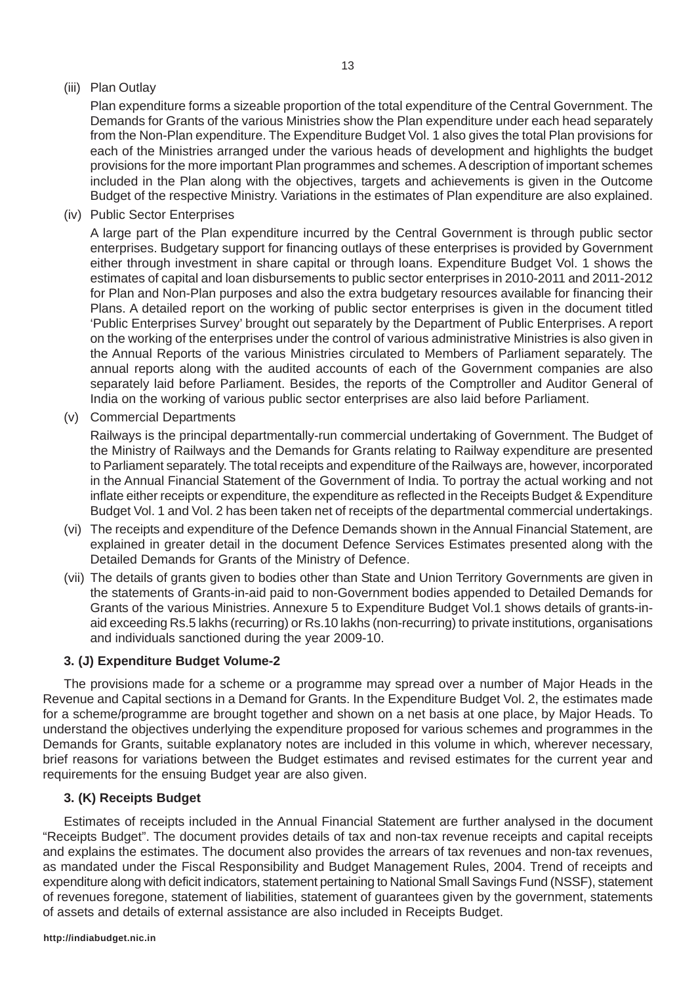## (iii) Plan Outlay

Plan expenditure forms a sizeable proportion of the total expenditure of the Central Government. The Demands for Grants of the various Ministries show the Plan expenditure under each head separately from the Non-Plan expenditure. The Expenditure Budget Vol. 1 also gives the total Plan provisions for each of the Ministries arranged under the various heads of development and highlights the budget provisions for the more important Plan programmes and schemes. A description of important schemes included in the Plan along with the objectives, targets and achievements is given in the Outcome Budget of the respective Ministry. Variations in the estimates of Plan expenditure are also explained.

(iv) Public Sector Enterprises

A large part of the Plan expenditure incurred by the Central Government is through public sector enterprises. Budgetary support for financing outlays of these enterprises is provided by Government either through investment in share capital or through loans. Expenditure Budget Vol. 1 shows the estimates of capital and loan disbursements to public sector enterprises in 2010-2011 and 2011-2012 for Plan and Non-Plan purposes and also the extra budgetary resources available for financing their Plans. A detailed report on the working of public sector enterprises is given in the document titled 'Public Enterprises Survey' brought out separately by the Department of Public Enterprises. A report on the working of the enterprises under the control of various administrative Ministries is also given in the Annual Reports of the various Ministries circulated to Members of Parliament separately. The annual reports along with the audited accounts of each of the Government companies are also separately laid before Parliament. Besides, the reports of the Comptroller and Auditor General of India on the working of various public sector enterprises are also laid before Parliament.

(v) Commercial Departments

Railways is the principal departmentally-run commercial undertaking of Government. The Budget of the Ministry of Railways and the Demands for Grants relating to Railway expenditure are presented to Parliament separately. The total receipts and expenditure of the Railways are, however, incorporated in the Annual Financial Statement of the Government of India. To portray the actual working and not inflate either receipts or expenditure, the expenditure as reflected in the Receipts Budget & Expenditure Budget Vol. 1 and Vol. 2 has been taken net of receipts of the departmental commercial undertakings.

- (vi) The receipts and expenditure of the Defence Demands shown in the Annual Financial Statement, are explained in greater detail in the document Defence Services Estimates presented along with the Detailed Demands for Grants of the Ministry of Defence.
- (vii) The details of grants given to bodies other than State and Union Territory Governments are given in the statements of Grants-in-aid paid to non-Government bodies appended to Detailed Demands for Grants of the various Ministries. Annexure 5 to Expenditure Budget Vol.1 shows details of grants-inaid exceeding Rs.5 lakhs (recurring) or Rs.10 lakhs (non-recurring) to private institutions, organisations and individuals sanctioned during the year 2009-10.

## **3. (J) Expenditure Budget Volume-2**

The provisions made for a scheme or a programme may spread over a number of Major Heads in the Revenue and Capital sections in a Demand for Grants. In the Expenditure Budget Vol. 2, the estimates made for a scheme/programme are brought together and shown on a net basis at one place, by Major Heads. To understand the objectives underlying the expenditure proposed for various schemes and programmes in the Demands for Grants, suitable explanatory notes are included in this volume in which, wherever necessary, brief reasons for variations between the Budget estimates and revised estimates for the current year and requirements for the ensuing Budget year are also given.

## **3. (K) Receipts Budget**

Estimates of receipts included in the Annual Financial Statement are further analysed in the document "Receipts Budget". The document provides details of tax and non-tax revenue receipts and capital receipts and explains the estimates. The document also provides the arrears of tax revenues and non-tax revenues, as mandated under the Fiscal Responsibility and Budget Management Rules, 2004. Trend of receipts and expenditure along with deficit indicators, statement pertaining to National Small Savings Fund (NSSF), statement of revenues foregone, statement of liabilities, statement of guarantees given by the government, statements of assets and details of external assistance are also included in Receipts Budget.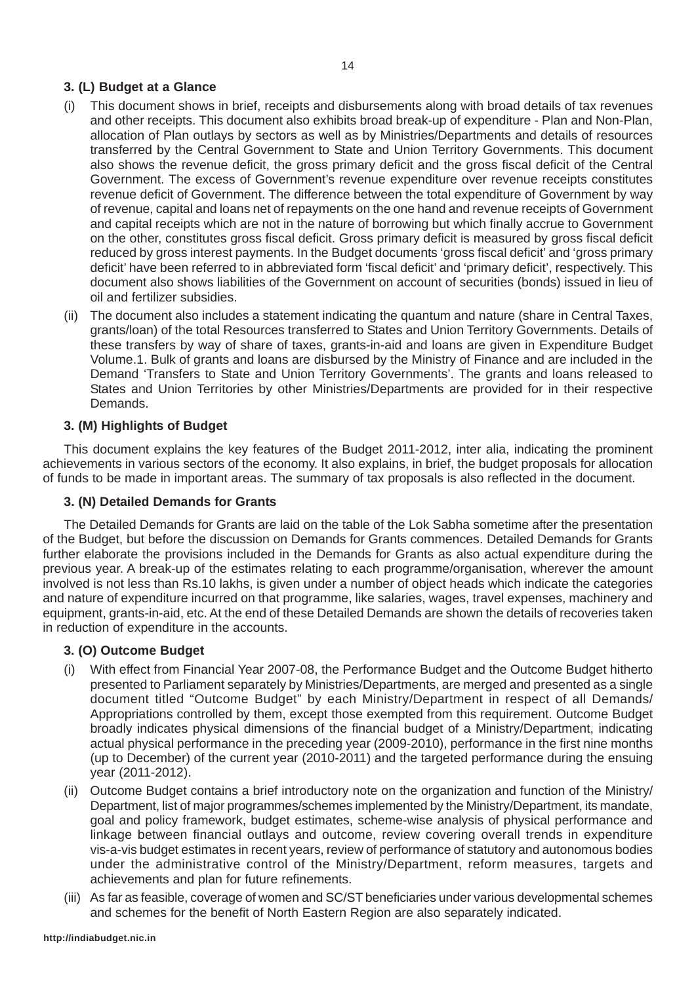## **3. (L) Budget at a Glance**

- (i) This document shows in brief, receipts and disbursements along with broad details of tax revenues and other receipts. This document also exhibits broad break-up of expenditure - Plan and Non-Plan, allocation of Plan outlays by sectors as well as by Ministries/Departments and details of resources transferred by the Central Government to State and Union Territory Governments. This document also shows the revenue deficit, the gross primary deficit and the gross fiscal deficit of the Central Government. The excess of Government's revenue expenditure over revenue receipts constitutes revenue deficit of Government. The difference between the total expenditure of Government by way of revenue, capital and loans net of repayments on the one hand and revenue receipts of Government and capital receipts which are not in the nature of borrowing but which finally accrue to Government on the other, constitutes gross fiscal deficit. Gross primary deficit is measured by gross fiscal deficit reduced by gross interest payments. In the Budget documents 'gross fiscal deficit' and 'gross primary deficit' have been referred to in abbreviated form 'fiscal deficit' and 'primary deficit', respectively. This document also shows liabilities of the Government on account of securities (bonds) issued in lieu of oil and fertilizer subsidies.
- (ii) The document also includes a statement indicating the quantum and nature (share in Central Taxes, grants/loan) of the total Resources transferred to States and Union Territory Governments. Details of these transfers by way of share of taxes, grants-in-aid and loans are given in Expenditure Budget Volume.1. Bulk of grants and loans are disbursed by the Ministry of Finance and are included in the Demand 'Transfers to State and Union Territory Governments'. The grants and loans released to States and Union Territories by other Ministries/Departments are provided for in their respective Demands.

# **3. (M) Highlights of Budget**

This document explains the key features of the Budget 2011-2012, inter alia, indicating the prominent achievements in various sectors of the economy. It also explains, in brief, the budget proposals for allocation of funds to be made in important areas. The summary of tax proposals is also reflected in the document.

## **3. (N) Detailed Demands for Grants**

The Detailed Demands for Grants are laid on the table of the Lok Sabha sometime after the presentation of the Budget, but before the discussion on Demands for Grants commences. Detailed Demands for Grants further elaborate the provisions included in the Demands for Grants as also actual expenditure during the previous year. A break-up of the estimates relating to each programme/organisation, wherever the amount involved is not less than Rs.10 lakhs, is given under a number of object heads which indicate the categories and nature of expenditure incurred on that programme, like salaries, wages, travel expenses, machinery and equipment, grants-in-aid, etc. At the end of these Detailed Demands are shown the details of recoveries taken in reduction of expenditure in the accounts.

## **3. (O) Outcome Budget**

- (i) With effect from Financial Year 2007-08, the Performance Budget and the Outcome Budget hitherto presented to Parliament separately by Ministries/Departments, are merged and presented as a single document titled "Outcome Budget" by each Ministry/Department in respect of all Demands/ Appropriations controlled by them, except those exempted from this requirement. Outcome Budget broadly indicates physical dimensions of the financial budget of a Ministry/Department, indicating actual physical performance in the preceding year (2009-2010), performance in the first nine months (up to December) of the current year (2010-2011) and the targeted performance during the ensuing year (2011-2012).
- (ii) Outcome Budget contains a brief introductory note on the organization and function of the Ministry/ Department, list of major programmes/schemes implemented by the Ministry/Department, its mandate, goal and policy framework, budget estimates, scheme-wise analysis of physical performance and linkage between financial outlays and outcome, review covering overall trends in expenditure vis-a-vis budget estimates in recent years, review of performance of statutory and autonomous bodies under the administrative control of the Ministry/Department, reform measures, targets and achievements and plan for future refinements.
- (iii) As far as feasible, coverage of women and SC/ST beneficiaries under various developmental schemes and schemes for the benefit of North Eastern Region are also separately indicated.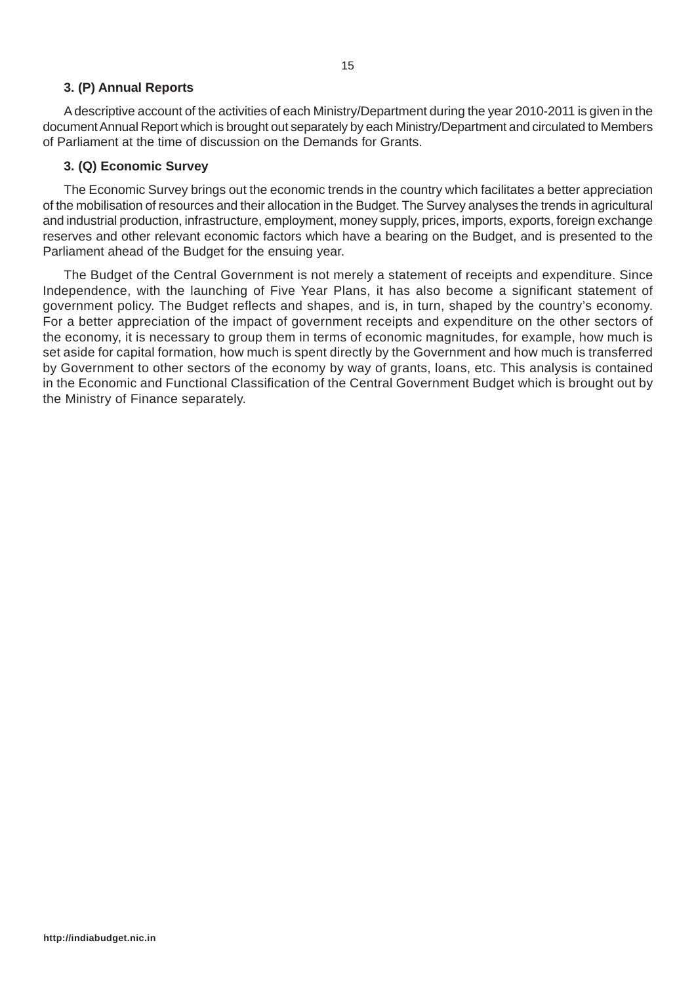## **3. (P) Annual Reports**

A descriptive account of the activities of each Ministry/Department during the year 2010-2011 is given in the document Annual Report which is brought out separately by each Ministry/Department and circulated to Members of Parliament at the time of discussion on the Demands for Grants.

## **3. (Q) Economic Survey**

The Economic Survey brings out the economic trends in the country which facilitates a better appreciation of the mobilisation of resources and their allocation in the Budget. The Survey analyses the trends in agricultural and industrial production, infrastructure, employment, money supply, prices, imports, exports, foreign exchange reserves and other relevant economic factors which have a bearing on the Budget, and is presented to the Parliament ahead of the Budget for the ensuing year.

The Budget of the Central Government is not merely a statement of receipts and expenditure. Since Independence, with the launching of Five Year Plans, it has also become a significant statement of government policy. The Budget reflects and shapes, and is, in turn, shaped by the country's economy. For a better appreciation of the impact of government receipts and expenditure on the other sectors of the economy, it is necessary to group them in terms of economic magnitudes, for example, how much is set aside for capital formation, how much is spent directly by the Government and how much is transferred by Government to other sectors of the economy by way of grants, loans, etc. This analysis is contained in the Economic and Functional Classification of the Central Government Budget which is brought out by the Ministry of Finance separately.